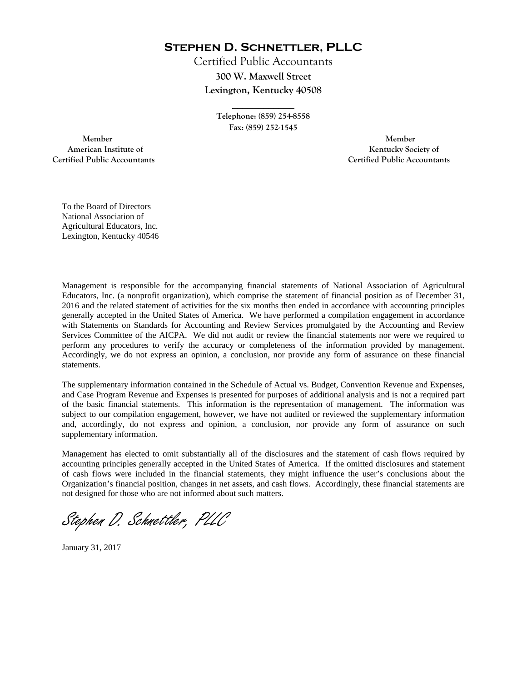**Stephen D. Schnettler, PLLC**

Certified Public Accountants **300 W. Maxwell Street Lexington, Kentucky 40508** 

> **Telephone: (859) 254-8558 Fax: (859) 252-1545**

**\_\_\_\_\_\_\_\_\_\_\_\_** 

 **Member Member Certified Public Accountants Certified Public Accountants** 

American Institute of **Kentucky Society of** 

To the Board of Directors National Association of Agricultural Educators, Inc. Lexington, Kentucky 40546

Management is responsible for the accompanying financial statements of National Association of Agricultural Educators, Inc. (a nonprofit organization), which comprise the statement of financial position as of December 31, 2016 and the related statement of activities for the six months then ended in accordance with accounting principles generally accepted in the United States of America. We have performed a compilation engagement in accordance with Statements on Standards for Accounting and Review Services promulgated by the Accounting and Review Services Committee of the AICPA. We did not audit or review the financial statements nor were we required to perform any procedures to verify the accuracy or completeness of the information provided by management. Accordingly, we do not express an opinion, a conclusion, nor provide any form of assurance on these financial statements.

The supplementary information contained in the Schedule of Actual vs. Budget, Convention Revenue and Expenses, and Case Program Revenue and Expenses is presented for purposes of additional analysis and is not a required part of the basic financial statements. This information is the representation of management. The information was subject to our compilation engagement, however, we have not audited or reviewed the supplementary information and, accordingly, do not express and opinion, a conclusion, nor provide any form of assurance on such supplementary information.

Management has elected to omit substantially all of the disclosures and the statement of cash flows required by accounting principles generally accepted in the United States of America. If the omitted disclosures and statement of cash flows were included in the financial statements, they might influence the user's conclusions about the Organization's financial position, changes in net assets, and cash flows. Accordingly, these financial statements are not designed for those who are not informed about such matters.

Stephen D. Schnettler, PLLC

January 31, 2017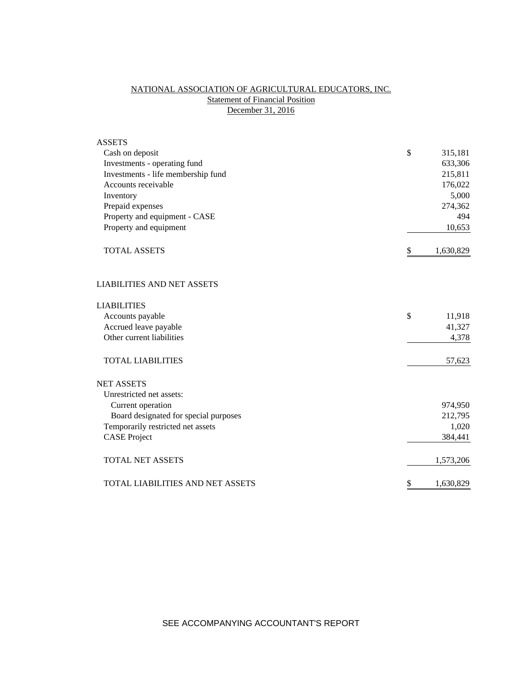# NATIONAL ASSOCIATION OF AGRICULTURAL EDUCATORS, INC. **Statement of Financial Position** December 31, 2016

| <b>ASSETS</b>                         |                 |
|---------------------------------------|-----------------|
| Cash on deposit                       | \$<br>315,181   |
| Investments - operating fund          | 633,306         |
| Investments - life membership fund    | 215,811         |
| Accounts receivable                   | 176,022         |
| Inventory                             | 5,000           |
| Prepaid expenses                      | 274,362         |
| Property and equipment - CASE         | 494             |
| Property and equipment                | 10,653          |
| <b>TOTAL ASSETS</b>                   | \$<br>1,630,829 |
| <b>LIABILITIES AND NET ASSETS</b>     |                 |
| <b>LIABILITIES</b>                    |                 |
| Accounts payable                      | \$<br>11,918    |
| Accrued leave payable                 | 41,327          |
| Other current liabilities             | 4,378           |
| <b>TOTAL LIABILITIES</b>              | 57,623          |
| <b>NET ASSETS</b>                     |                 |
| Unrestricted net assets:              |                 |
| Current operation                     | 974,950         |
| Board designated for special purposes | 212,795         |
| Temporarily restricted net assets     | 1,020           |
| <b>CASE Project</b>                   | 384,441         |
| <b>TOTAL NET ASSETS</b>               | 1,573,206       |
| TOTAL LIABILITIES AND NET ASSETS      | \$<br>1,630,829 |

SEE ACCOMPANYING ACCOUNTANT'S REPORT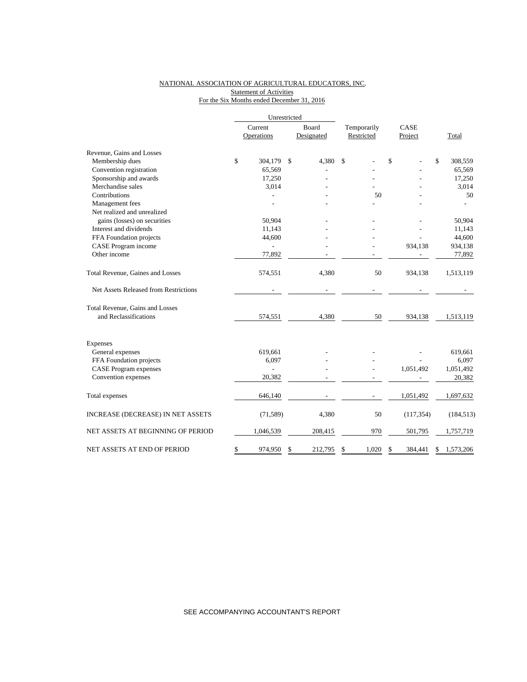### NATIONAL ASSOCIATION OF AGRICULTURAL EDUCATORS, INC. **Statement of Activities** For the Six Months ended December 31, 2016

|                                       |         | Unrestricted   |               |             |               |                 |
|---------------------------------------|---------|----------------|---------------|-------------|---------------|-----------------|
|                                       | Current |                | Board         | Temporarily | CASE          |                 |
|                                       |         | Operations     | Designated    | Restricted  | Project       | Total           |
| Revenue, Gains and Losses             |         |                |               |             |               |                 |
| Membership dues                       | \$      | 304,179        | \$<br>4,380   | \$          | \$            | \$<br>308,559   |
| Convention registration               |         | 65,569         |               |             |               | 65,569          |
| Sponsorship and awards                |         | 17,250         |               |             |               | 17,250          |
| Merchandise sales                     |         | 3,014          |               |             |               | 3,014           |
| Contributions                         |         |                |               | 50          |               | 50              |
| Management fees                       |         |                |               |             |               |                 |
| Net realized and unrealized           |         |                |               |             |               |                 |
| gains (losses) on securities          |         | 50,904         |               |             |               | 50,904          |
| Interest and dividends                |         | 11,143         |               |             |               | 11,143          |
| FFA Foundation projects               |         | 44,600         |               |             |               | 44,600          |
| CASE Program income                   |         |                |               |             | 934,138       | 934,138         |
| Other income                          |         | 77,892         |               |             |               | 77,892          |
| Total Revenue, Gaines and Losses      |         | 574,551        | 4,380         | 50          | 934,138       | 1,513,119       |
| Net Assets Released from Restrictions |         |                |               |             |               |                 |
| Total Revenue, Gains and Losses       |         |                |               |             |               |                 |
| and Reclassifications                 |         | 574,551        | 4,380         | 50          | 934,138       | 1,513,119       |
| Expenses                              |         |                |               |             |               |                 |
| General expenses                      |         | 619,661        |               |             |               | 619,661         |
| FFA Foundation projects               |         | 6,097          |               |             |               | 6,097           |
| <b>CASE Program expenses</b>          |         | $\overline{a}$ |               |             | 1,051,492     | 1,051,492       |
| Convention expenses                   |         | 20,382         |               |             |               | 20,382          |
| Total expenses                        |         | 646,140        |               |             | 1,051,492     | 1,697,632       |
| INCREASE (DECREASE) IN NET ASSETS     |         | (71, 589)      | 4,380         | 50          | (117, 354)    | (184, 513)      |
| NET ASSETS AT BEGINNING OF PERIOD     |         | 1,046,539      | 208,415       | 970         | 501,795       | 1,757,719       |
| NET ASSETS AT END OF PERIOD           | \$      | 974,950        | \$<br>212,795 | \$<br>1,020 | \$<br>384,441 | \$<br>1,573,206 |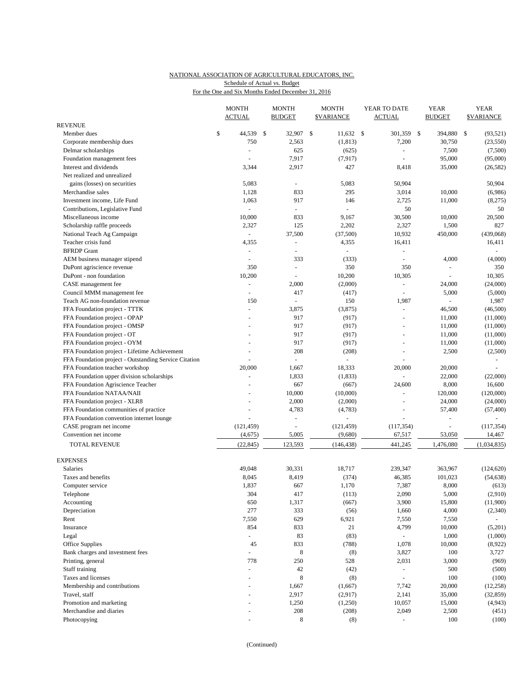## NATIONAL ASSOCIATION OF AGRICULTURAL EDUCATORS, INC. Schedule of Actual vs. Budget

For the One and Six Months Ended December 31, 2016

|                                                           | <b>MONTH</b><br><b>ACTUAL</b> | <b>MONTH</b><br><b>BUDGET</b> | <b>MONTH</b><br><b>\$VARIANCE</b> | YEAR TO DATE<br>ACTUAL   | <b>YEAR</b><br><b>BUDGET</b> | <b>YEAR</b><br><b>\$VARIANCE</b> |
|-----------------------------------------------------------|-------------------------------|-------------------------------|-----------------------------------|--------------------------|------------------------------|----------------------------------|
| <b>REVENUE</b>                                            |                               |                               |                                   |                          |                              |                                  |
| Member dues                                               | \$<br>44,539 \$               | 32,907                        | \$<br>$11,632$ \$                 | 301,359                  | \$<br>394,880                | \$<br>(93, 521)                  |
| Corporate membership dues                                 | 750                           | 2,563                         | (1, 813)                          | 7,200                    | 30,750                       | (23, 550)                        |
| Delmar scholarships                                       | ÷,                            | 625                           | (625)                             | $\sim$                   | 7,500                        | (7,500)                          |
| Foundation management fees                                | $\overline{a}$                | 7,917                         | (7, 917)                          | $\sim$                   | 95,000                       | (95,000)                         |
| Interest and dividends                                    | 3,344                         | 2,917                         | 427                               | 8,418                    | 35,000                       | (26, 582)                        |
| Net realized and unrealized                               |                               |                               |                                   |                          |                              |                                  |
| gains (losses) on securities                              | 5,083                         | $\omega$                      | 5,083                             | 50,904                   |                              | 50,904                           |
| Merchandise sales                                         | 1,128                         | 833                           | 295                               | 3,014                    | 10,000                       | (6,986)                          |
| Investment income, Life Fund                              | 1,063                         | 917<br>$\sim$                 | 146                               | 2,725                    | 11,000                       | (8,275)                          |
| Contributions, Legislative Fund                           | ÷,                            | 833                           | 9,167                             | 50                       |                              | 50                               |
| Miscellaneous income                                      | 10,000<br>2,327               | 125                           | 2,202                             | 30,500<br>2,327          | 10,000<br>1,500              | 20,500<br>827                    |
| Scholarship raffle proceeds<br>National Teach Ag Campaign | $\overline{\phantom{a}}$      | 37,500                        | (37,500)                          | 10,932                   | 450,000                      | (439,068)                        |
| Teacher crisis fund                                       | 4,355                         | $\overline{\phantom{a}}$      | 4,355                             | 16,411                   |                              | 16,411                           |
| <b>BFRDP</b> Grant                                        | $\blacksquare$                | $\blacksquare$                | ÷,                                | $\blacksquare$           |                              | $\overline{\phantom{a}}$         |
| AEM business manager stipend                              |                               | 333                           | (333)                             |                          | 4,000                        | (4,000)                          |
| DuPont agriscience revenue                                | 350                           | $\overline{\phantom{a}}$      | 350                               | 350                      | L,                           | 350                              |
| DuPont - non foundation                                   | 10,200                        |                               | 10,200                            | 10,305                   |                              | 10,305                           |
| CASE management fee                                       | $\Box$                        | 2,000                         | (2,000)                           | $\overline{\phantom{a}}$ | 24,000                       | (24,000)                         |
| Council MMM management fee                                | $\overline{a}$                | 417                           | (417)                             | L,                       | 5,000                        | (5,000)                          |
| Teach AG non-foundation revenue                           | 150                           |                               | 150                               | 1,987                    | L.                           | 1,987                            |
| FFA Foundation project - TTTK                             |                               | 3,875                         | (3,875)                           | $\bar{\phantom{a}}$      | 46,500                       | (46,500)                         |
| FFA Foundation project - OPAP                             | $\overline{a}$                | 917                           | (917)                             | $\sim$                   | 11,000                       | (11,000)                         |
| FFA Foundation project - OMSP                             |                               | 917                           | (917)                             |                          | 11,000                       | (11,000)                         |
| FFA Foundation project - OT                               |                               | 917                           | (917)                             | $\blacksquare$           | 11,000                       | (11,000)                         |
| FFA Foundation project - OYM                              |                               | 917                           | (917)                             |                          | 11,000                       | (11,000)                         |
| FFA Foundation project - Lifetime Achievement             |                               | 208                           | (208)                             | $\blacksquare$           | 2,500                        | (2,500)                          |
| FFA Foundation project - Outstanding Service Citation     |                               |                               |                                   |                          |                              |                                  |
| FFA Foundation teacher workshop                           | 20,000                        | 1,667                         | 18,333                            | 20,000                   | 20,000                       |                                  |
| FFA Foundation upper division scholarships                |                               | 1,833                         | (1, 833)                          | ÷.                       | 22,000                       | (22,000)                         |
| FFA Foundation Agriscience Teacher                        |                               | 667                           | (667)                             | 24,600                   | 8,000                        | 16,600                           |
| FFA Foundation NATAA/NAII                                 |                               | 10,000                        | (10,000)                          | L.                       | 120,000                      | (120,000)                        |
| FFA Foundation project - XLR8                             |                               | 2,000                         | (2,000)                           | ÷                        | 24,000                       | (24,000)                         |
| FFA Foundation communities of practice                    |                               | 4,783                         | (4,783)                           |                          | 57,400                       | (57, 400)                        |
| FFA Foundation convention internet lounge                 |                               |                               |                                   |                          | L,                           |                                  |
| CASE program net income                                   | (121, 459)                    | $\overline{\phantom{a}}$      | (121, 459)                        | (117, 354)               | L,                           | (117, 354)                       |
| Convention net income                                     | (4,675)                       | 5,005                         | (9,680)                           | 67,517                   | 53,050                       | 14,467                           |
| <b>TOTAL REVENUE</b>                                      | (22, 845)                     | 123,593                       | (146, 438)                        | 441,245                  | 1,476,080                    | (1,034,835)                      |
| <b>EXPENSES</b>                                           |                               |                               |                                   |                          |                              |                                  |
| Salaries                                                  | 49.048                        | 30,331                        | 18,717                            | 239,347                  | 363,967                      | (124, 620)                       |
| Taxes and benefits                                        | 8,045                         | 8,419                         | (374)                             | 46,385                   | 101,023                      | (54, 638)                        |
| Computer service                                          | 1,837                         | 667                           | 1,170                             | 7,387                    | 8,000                        | (613)                            |
| Telephone                                                 | 304                           | 417                           | (113)                             | 2,090                    | 5,000                        | (2,910)                          |
| Accounting                                                | 650                           | 1,317                         | (667)                             | 3,900                    | 15,800                       | (11,900)                         |
| Depreciation                                              | 277                           | 333                           | (56)                              | 1,660                    | 4,000                        | (2,340)                          |
| Rent                                                      | 7,550                         | 629                           | 6,921                             | 7,550                    | 7,550                        | $\sim$                           |
| Insurance                                                 | 854                           | 833                           | 21                                | 4,799                    | 10,000                       | (5,201)                          |
| Legal                                                     | $\Box$                        | 83                            | (83)                              | $\omega_{\rm c}$         | 1,000                        | (1,000)                          |
| Office Supplies                                           | 45                            | 833                           | (788)                             | 1,078                    | 10,000                       | (8,922)                          |
| Bank charges and investment fees                          | ÷,                            | 8                             | (8)                               | 3,827                    | 100                          | 3,727                            |
| Printing, general                                         | 778                           | 250                           | 528                               | 2,031                    | 3,000                        | (969)                            |
| Staff training<br>Taxes and licenses                      | $\omega$                      | $42\,$<br>$\,$ 8 $\,$         | (42)<br>(8)                       | $\sim$<br>$\omega$       | 500<br>100                   | (500)<br>(100)                   |
| Membership and contributions                              |                               | 1,667                         | (1,667)                           | 7,742                    | 20,000                       | (12, 258)                        |
| Travel, staff                                             |                               | 2,917                         | (2,917)                           | 2,141                    | 35,000                       | (32, 859)                        |
| Promotion and marketing                                   |                               | 1,250                         | (1,250)                           | 10,057                   | 15,000                       | (4,943)                          |
| Merchandise and diaries                                   |                               | 208                           | (208)                             | 2,049                    | 2,500                        | (451)                            |
| Photocopying                                              |                               | $\,8\,$                       | (8)                               |                          | 100                          | (100)                            |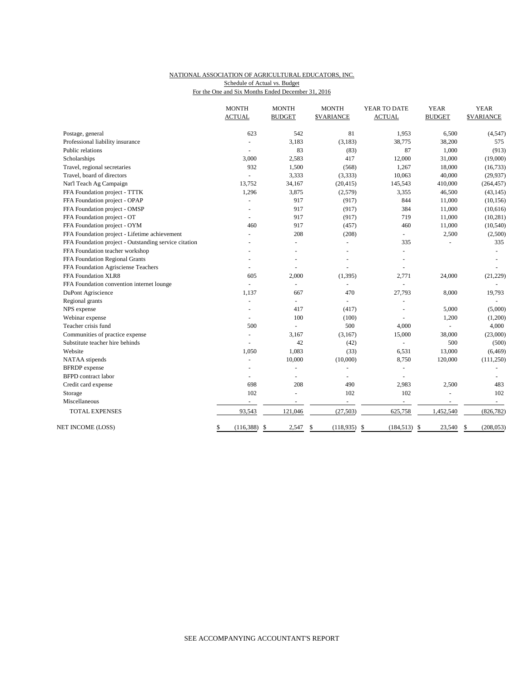## NATIONAL ASSOCIATION OF AGRICULTURAL EDUCATORS, INC. Schedule of Actual vs. Budget

For the One and Six Months Ended December 31, 2016

|                                                       | <b>MONTH</b><br><b>ACTUAL</b> | <b>MONTH</b><br><b>BUDGET</b> | <b>MONTH</b><br><b>\$VARIANCE</b> | YEAR TO DATE<br><b>ACTUAL</b> | <b>YEAR</b><br><b>BUDGET</b> | <b>YEAR</b><br><b>\$VARIANCE</b> |
|-------------------------------------------------------|-------------------------------|-------------------------------|-----------------------------------|-------------------------------|------------------------------|----------------------------------|
| Postage, general                                      | 623                           | 542                           | 81                                | 1,953                         | 6,500                        | (4,547)                          |
| Professional liability insurance                      |                               | 3,183                         | (3, 183)                          | 38,775                        | 38,200                       | 575                              |
| Public relations                                      |                               | 83                            | (83)                              | 87                            | 1,000                        | (913)                            |
| Scholarships                                          | 3.000                         | 2,583                         | 417                               | 12,000                        | 31,000                       | (19,000)                         |
| Travel, regional secretaries                          | 932                           | 1,500                         | (568)                             | 1,267                         | 18,000                       | (16, 733)                        |
| Travel, board of directors                            | L.                            | 3,333                         | (3, 333)                          | 10,063                        | 40,000                       | (29, 937)                        |
| Nat'l Teach Ag Campaign                               | 13,752                        | 34,167                        | (20, 415)                         | 145,543                       | 410,000                      | (264, 457)                       |
| FFA Foundation project - TTTK                         | 1,296                         | 3,875                         | (2,579)                           | 3,355                         | 46,500                       | (43, 145)                        |
| FFA Foundation project - OPAP                         | ÷,                            | 917                           | (917)                             | 844                           | 11,000                       | (10, 156)                        |
| FFA Foundation project - OMSP                         | $\blacksquare$                | 917                           | (917)                             | 384                           | 11,000                       | (10,616)                         |
| FFA Foundation project - OT                           |                               | 917                           | (917)                             | 719                           | 11,000                       | (10, 281)                        |
| FFA Foundation project - OYM                          | 460                           | 917                           | (457)                             | 460                           | 11,000                       | (10, 540)                        |
| FFA Foundation project - Lifetime achievement         |                               | 208                           | (208)                             | ÷,                            | 2,500                        | (2,500)                          |
| FFA Foundation project - Outstanding service citation |                               | L.                            | ÷                                 | 335                           |                              | 335                              |
| FFA Foundation teacher workshop                       |                               |                               |                                   |                               |                              |                                  |
| FFA Foundation Regional Grants                        |                               |                               |                                   |                               |                              |                                  |
| FFA Foundation Agrisciense Teachers                   |                               |                               |                                   |                               |                              |                                  |
| FFA Foundation XLR8                                   | 605                           | 2,000                         | (1, 395)                          | 2,771                         | 24,000                       | (21, 229)                        |
| FFA Foundation convention internet lounge             | ÷.                            | $\overline{\phantom{a}}$      | ÷,                                |                               |                              |                                  |
| DuPont Agriscience                                    | 1,137                         | 667                           | 470                               | 27,793                        | 8,000                        | 19,793                           |
| Regional grants                                       |                               | $\blacksquare$                | $\overline{a}$                    |                               |                              |                                  |
| NPS expense                                           |                               | 417                           | (417)                             |                               | 5,000                        | (5,000)                          |
| Webinar expense                                       |                               | 100                           | (100)                             |                               | 1,200                        | (1,200)                          |
| Teacher crisis fund                                   | 500                           | L.                            | 500                               | 4,000                         |                              | 4,000                            |
| Communities of practice expense                       |                               | 3,167                         | (3,167)                           | 15,000                        | 38,000                       | (23,000)                         |
| Substitute teacher hire behinds                       |                               | 42                            | (42)                              |                               | 500                          | (500)                            |
| Website                                               | 1,050                         | 1,083                         | (33)                              | 6,531                         | 13,000                       | (6, 469)                         |
| NATAA stipends                                        | ä,                            | 10,000                        | (10,000)                          | 8,750                         | 120,000                      | (111,250)                        |
| <b>BFRDP</b> expense                                  | ÷                             | ÷,                            | ÷,                                | $\overline{a}$                |                              |                                  |
| <b>BFPD</b> contract labor                            | ä,                            | L.                            | L.                                | L,                            |                              |                                  |
| Credit card expense                                   | 698                           | 208                           | 490                               | 2,983                         | 2,500                        | 483                              |
| Storage                                               | 102                           |                               | 102                               | 102                           |                              | 102                              |
| Miscellaneous                                         |                               |                               | ä,                                | ÷.                            |                              | $\sim$                           |
| <b>TOTAL EXPENSES</b>                                 | 93,543                        | 121,046                       | (27, 503)                         | 625,758                       | 1,452,540                    | (826, 782)                       |
| NET INCOME (LOSS)                                     | \$<br>(116, 388)              | -S<br>2,547                   | \$<br>$(118, 935)$ \$             | $(184, 513)$ \$               | 23,540                       | <sup>\$</sup><br>(208, 053)      |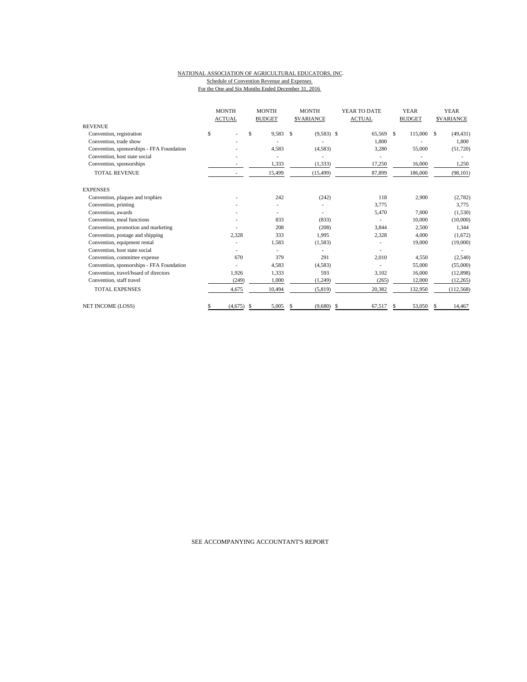### NATIONAL ASSOCIATION OF AGRICULTURAL EDUCATORS, INC. Schedule of Convention Revenue and Expenses For the One and Six Months Ended December 31, 2016

|                                           | <b>MONTH</b><br><b>ACTUAL</b> | <b>MONTH</b><br><b>BUDGET</b> | <b>MONTH</b><br><b>SVARIANCE</b> | YEAR TO DATE<br><b>ACTUAL</b> | <b>YEAR</b><br><b>BUDGET</b> | <b>YEAR</b><br><b>SVARIANCE</b> |  |
|-------------------------------------------|-------------------------------|-------------------------------|----------------------------------|-------------------------------|------------------------------|---------------------------------|--|
| <b>REVENUE</b>                            |                               |                               |                                  |                               |                              |                                 |  |
| Convention, registration                  | \$                            | \$<br>9,583                   | $\mathbf{s}$<br>$(9,583)$ \$     | 65,569                        | 115,000<br>\$.               | (49, 431)<br>- \$               |  |
| Convention, trade show                    |                               |                               |                                  | 1,800                         |                              | 1,800                           |  |
| Convention, sponsorships - FFA Foundation |                               | 4,583                         | (4,583)                          | 3,280                         | 55,000                       | (51, 720)                       |  |
| Convention, host state social             |                               |                               |                                  |                               |                              |                                 |  |
| Convention, sponsorships                  |                               | 1,333                         | (1, 333)                         | 17,250                        | 16,000                       | 1,250                           |  |
| <b>TOTAL REVENUE</b>                      |                               | 15,499                        | (15, 499)                        | 87,899                        | 186,000                      | (98, 101)                       |  |
| <b>EXPENSES</b>                           |                               |                               |                                  |                               |                              |                                 |  |
| Convention, plaques and trophies          |                               | 242                           | (242)                            | 118                           | 2,900                        | (2,782)                         |  |
| Convention, printing                      |                               |                               |                                  | 3,775                         |                              | 3,775                           |  |
| Convention, awards                        |                               |                               |                                  | 5,470                         | 7.000                        | (1,530)                         |  |
| Convention, meal functions                |                               | 833                           | (833)                            |                               | 10,000                       | (10,000)                        |  |
| Convention, promotion and marketing       |                               | 208                           | (208)                            | 3,844                         | 2,500                        | 1,344                           |  |
| Convention, postage and shipping          | 2.328                         | 333                           | 1.995                            | 2,328                         | 4.000                        | (1,672)                         |  |
| Convention, equipment rental              |                               | 1,583                         | (1, 583)                         |                               | 19,000                       | (19,000)                        |  |
| Convention, host state social             |                               |                               |                                  |                               |                              |                                 |  |
| Convention, committee expense             | 670                           | 379                           | 291                              | 2,010                         | 4,550                        | (2,540)                         |  |
| Convention, sponsorships - FFA Foundation |                               | 4,583                         | (4,583)                          |                               | 55,000                       | (55,000)                        |  |
| Convention, travel/board of directors     | 1.926                         | 1,333                         | 593                              | 3.102                         | 16,000                       | (12,898)                        |  |
| Convention, staff travel                  | (249)                         | 1,000                         | (1,249)                          | (265)                         | 12,000                       | (12, 265)                       |  |
| <b>TOTAL EXPENSES</b>                     | 4,675                         | 10,494                        | (5, 819)                         | 20,382                        | 132,950                      | (112, 568)                      |  |
| <b>NET INCOME (LOSS)</b>                  | (4,675)                       | 5,005<br>S                    | (9,680)<br>S                     | \$<br>67,517                  | 53,050<br>S                  | 14,467<br>S.                    |  |

SEE ACCOMPANYING ACCOUNTANT'S REPORT